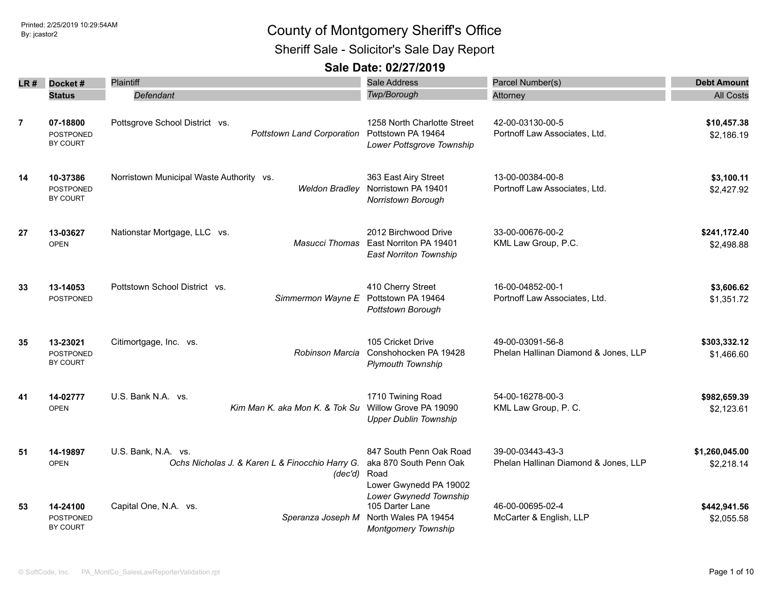Sheriff Sale - Solicitor's Sale Day Report

| LR #           | Docket#                                  | Plaintiff                                                                              | <b>Sale Address</b>                                                                             | Parcel Number(s)                                         | <b>Debt Amount</b>           |
|----------------|------------------------------------------|----------------------------------------------------------------------------------------|-------------------------------------------------------------------------------------------------|----------------------------------------------------------|------------------------------|
|                | <b>Status</b>                            | Defendant                                                                              | Twp/Borough                                                                                     | Attorney                                                 | All Costs                    |
| $\overline{7}$ | 07-18800<br><b>POSTPONED</b><br>BY COURT | Pottsgrove School District vs.<br><b>Pottstown Land Corporation</b>                    | 1258 North Charlotte Street<br>Pottstown PA 19464<br>Lower Pottsgrove Township                  | 42-00-03130-00-5<br>Portnoff Law Associates, Ltd.        | \$10,457.38<br>\$2,186.19    |
| 14             | 10-37386<br><b>POSTPONED</b><br>BY COURT | Norristown Municipal Waste Authority vs.<br>Weldon Bradlev                             | 363 East Airy Street<br>Norristown PA 19401<br>Norristown Borough                               | 13-00-00384-00-8<br>Portnoff Law Associates, Ltd.        | \$3,100.11<br>\$2,427.92     |
| 27             | 13-03627<br><b>OPEN</b>                  | Nationstar Mortgage, LLC vs.<br><b>Masucci Thomas</b>                                  | 2012 Birchwood Drive<br>East Norriton PA 19401<br><b>East Norriton Township</b>                 | 33-00-00676-00-2<br>KML Law Group, P.C.                  | \$241,172.40<br>\$2,498.88   |
| 33             | 13-14053<br><b>POSTPONED</b>             | Pottstown School District vs.<br>Simmermon Wayne E                                     | 410 Cherry Street<br>Pottstown PA 19464<br>Pottstown Borough                                    | 16-00-04852-00-1<br>Portnoff Law Associates, Ltd.        | \$3,606.62<br>\$1,351.72     |
| 35             | 13-23021<br><b>POSTPONED</b><br>BY COURT | Citimortgage, Inc. vs.<br>Robinson Marcia                                              | 105 Cricket Drive<br>Conshohocken PA 19428<br><b>Plymouth Township</b>                          | 49-00-03091-56-8<br>Phelan Hallinan Diamond & Jones, LLP | \$303,332.12<br>\$1,466.60   |
| 41             | 14-02777<br><b>OPEN</b>                  | U.S. Bank N.A. vs.<br>Kim Man K. aka Mon K. & Tok Su                                   | 1710 Twining Road<br>Willow Grove PA 19090<br><b>Upper Dublin Township</b>                      | 54-00-16278-00-3<br>KML Law Group, P. C.                 | \$982,659.39<br>\$2,123.61   |
| 51             | 14-19897<br><b>OPEN</b>                  | U.S. Bank. N.A. vs.<br>Ochs Nicholas J. & Karen L & Finocchio Harry G.<br>(dec'd) Road | 847 South Penn Oak Road<br>aka 870 South Penn Oak<br>Lower Gwynedd PA 19002                     | 39-00-03443-43-3<br>Phelan Hallinan Diamond & Jones, LLP | \$1,260,045.00<br>\$2,218.14 |
| 53             | 14-24100<br>POSTPONED<br>BY COURT        | Capital One, N.A. vs.<br>Speranza Joseph M                                             | Lower Gwynedd Township<br>105 Darter Lane<br>North Wales PA 19454<br><b>Montgomery Township</b> | 46-00-00695-02-4<br>McCarter & English, LLP              | \$442,941.56<br>\$2,055.58   |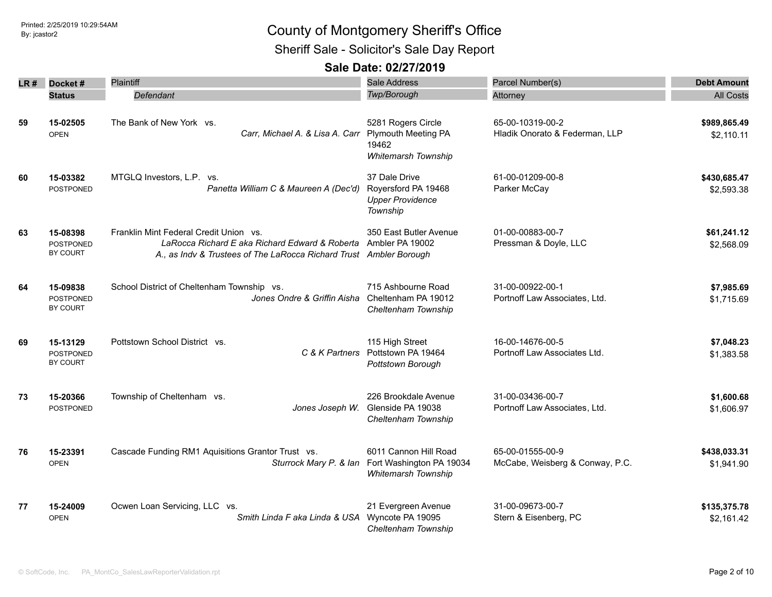Sheriff Sale - Solicitor's Sale Day Report

| LR # | Docket#                                  | Plaintiff                                                                                                                                                      | <b>Sale Address</b>                                                              | Parcel Number(s)                                    | <b>Debt Amount</b>         |
|------|------------------------------------------|----------------------------------------------------------------------------------------------------------------------------------------------------------------|----------------------------------------------------------------------------------|-----------------------------------------------------|----------------------------|
|      | <b>Status</b>                            | Defendant                                                                                                                                                      | Twp/Borough                                                                      | Attorney                                            | <b>All Costs</b>           |
| 59   | 15-02505<br><b>OPEN</b>                  | The Bank of New York vs.<br>Carr, Michael A. & Lisa A. Carr                                                                                                    | 5281 Rogers Circle<br><b>Plymouth Meeting PA</b><br>19462<br>Whitemarsh Township | 65-00-10319-00-2<br>Hladik Onorato & Federman, LLP  | \$989,865.49<br>\$2,110.11 |
| 60   | 15-03382<br>POSTPONED                    | MTGLQ Investors, L.P. vs.<br>Panetta William C & Maureen A (Dec'd)                                                                                             | 37 Dale Drive<br>Royersford PA 19468<br><b>Upper Providence</b><br>Township      | 61-00-01209-00-8<br>Parker McCay                    | \$430,685.47<br>\$2,593.38 |
| 63   | 15-08398<br><b>POSTPONED</b><br>BY COURT | Franklin Mint Federal Credit Union vs.<br>LaRocca Richard E aka Richard Edward & Roberta<br>A., as Indv & Trustees of The LaRocca Richard Trust Ambler Borough | 350 East Butler Avenue<br>Ambler PA 19002                                        | 01-00-00883-00-7<br>Pressman & Doyle, LLC           | \$61,241.12<br>\$2,568.09  |
| 64   | 15-09838<br><b>POSTPONED</b><br>BY COURT | School District of Cheltenham Township vs.<br>Jones Ondre & Griffin Aisha                                                                                      | 715 Ashbourne Road<br>Cheltenham PA 19012<br>Cheltenham Township                 | 31-00-00922-00-1<br>Portnoff Law Associates, Ltd.   | \$7,985.69<br>\$1,715.69   |
| 69   | 15-13129<br><b>POSTPONED</b><br>BY COURT | Pottstown School District vs.<br>C & K Partners                                                                                                                | 115 High Street<br>Pottstown PA 19464<br>Pottstown Borough                       | 16-00-14676-00-5<br>Portnoff Law Associates Ltd.    | \$7,048.23<br>\$1,383.58   |
| 73   | 15-20366<br><b>POSTPONED</b>             | Township of Cheltenham vs.<br>Jones Joseph W.                                                                                                                  | 226 Brookdale Avenue<br>Glenside PA 19038<br>Cheltenham Township                 | 31-00-03436-00-7<br>Portnoff Law Associates, Ltd.   | \$1,600.68<br>\$1,606.97   |
| 76   | 15-23391<br><b>OPEN</b>                  | Cascade Funding RM1 Aquisitions Grantor Trust vs.<br>Sturrock Mary P. & Ian                                                                                    | 6011 Cannon Hill Road<br>Fort Washington PA 19034<br><b>Whitemarsh Township</b>  | 65-00-01555-00-9<br>McCabe, Weisberg & Conway, P.C. | \$438,033.31<br>\$1,941.90 |
| 77   | 15-24009<br><b>OPEN</b>                  | Ocwen Loan Servicing, LLC vs.<br>Smith Linda F aka Linda & USA                                                                                                 | 21 Evergreen Avenue<br>Wyncote PA 19095<br>Cheltenham Township                   | 31-00-09673-00-7<br>Stern & Eisenberg, PC           | \$135,375.78<br>\$2,161.42 |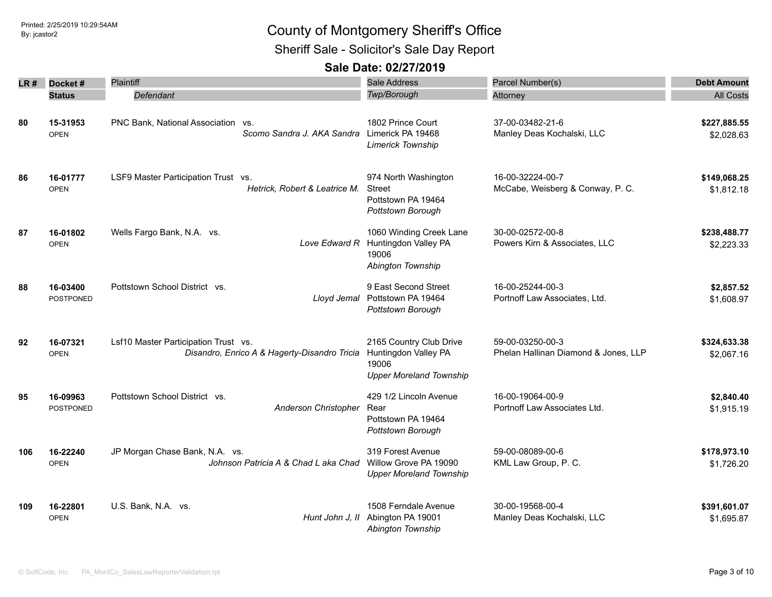Sheriff Sale - Solicitor's Sale Day Report

| LR # | Docket#                      | Plaintiff                                                                            | Sale Address                                                                               | Parcel Number(s)                                         | <b>Debt Amount</b>         |
|------|------------------------------|--------------------------------------------------------------------------------------|--------------------------------------------------------------------------------------------|----------------------------------------------------------|----------------------------|
|      | <b>Status</b>                | Defendant                                                                            | Twp/Borough                                                                                | Attorney                                                 | <b>All Costs</b>           |
| 80   | 15-31953<br><b>OPEN</b>      | PNC Bank, National Association vs.<br>Scomo Sandra J. AKA Sandra Limerick PA 19468   | 1802 Prince Court<br><b>Limerick Township</b>                                              | 37-00-03482-21-6<br>Manley Deas Kochalski, LLC           | \$227,885.55<br>\$2,028.63 |
| 86   | 16-01777<br><b>OPEN</b>      | LSF9 Master Participation Trust vs.<br>Hetrick, Robert & Leatrice M.                 | 974 North Washington<br><b>Street</b><br>Pottstown PA 19464<br>Pottstown Borough           | 16-00-32224-00-7<br>McCabe, Weisberg & Conway, P. C.     | \$149,068.25<br>\$1,812.18 |
| 87   | 16-01802<br><b>OPEN</b>      | Wells Fargo Bank, N.A. vs.<br>Love Edward R                                          | 1060 Winding Creek Lane<br>Huntingdon Valley PA<br>19006<br>Abington Township              | 30-00-02572-00-8<br>Powers Kirn & Associates, LLC        | \$238,488.77<br>\$2,223.33 |
| 88   | 16-03400<br><b>POSTPONED</b> | Pottstown School District vs.<br>Lloyd Jemal                                         | 9 East Second Street<br>Pottstown PA 19464<br>Pottstown Borough                            | 16-00-25244-00-3<br>Portnoff Law Associates, Ltd.        | \$2,857.52<br>\$1,608.97   |
| 92   | 16-07321<br><b>OPEN</b>      | Lsf10 Master Participation Trust vs.<br>Disandro, Enrico A & Hagerty-Disandro Tricia | 2165 Country Club Drive<br>Huntingdon Valley PA<br>19006<br><b>Upper Moreland Township</b> | 59-00-03250-00-3<br>Phelan Hallinan Diamond & Jones, LLP | \$324,633.38<br>\$2,067.16 |
| 95   | 16-09963<br>POSTPONED        | Pottstown School District vs.<br>Anderson Christopher                                | 429 1/2 Lincoln Avenue<br>Rear<br>Pottstown PA 19464<br>Pottstown Borough                  | 16-00-19064-00-9<br>Portnoff Law Associates Ltd.         | \$2,840.40<br>\$1,915.19   |
| 106  | 16-22240<br><b>OPEN</b>      | JP Morgan Chase Bank, N.A. vs.<br>Johnson Patricia A & Chad L aka Chad               | 319 Forest Avenue<br>Willow Grove PA 19090<br><b>Upper Moreland Township</b>               | 59-00-08089-00-6<br>KML Law Group, P. C.                 | \$178,973.10<br>\$1,726.20 |
| 109  | 16-22801<br><b>OPEN</b>      | U.S. Bank, N.A. vs.<br>Hunt John J, II                                               | 1508 Ferndale Avenue<br>Abington PA 19001<br>Abington Township                             | 30-00-19568-00-4<br>Manley Deas Kochalski, LLC           | \$391,601.07<br>\$1,695.87 |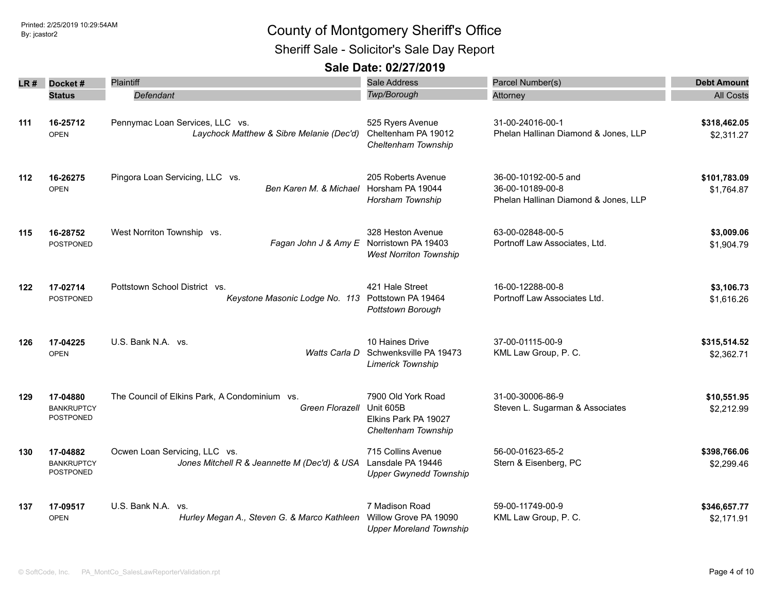Sheriff Sale - Solicitor's Sale Day Report

| LR # | Docket#                                           | Plaintiff                                                                          | Sale Address                                                                   | Parcel Number(s)                                                                 | <b>Debt Amount</b>         |
|------|---------------------------------------------------|------------------------------------------------------------------------------------|--------------------------------------------------------------------------------|----------------------------------------------------------------------------------|----------------------------|
|      | <b>Status</b>                                     | Defendant                                                                          | Twp/Borough                                                                    | Attorney                                                                         | <b>All Costs</b>           |
| 111  | 16-25712<br><b>OPEN</b>                           | Pennymac Loan Services, LLC vs.<br>Laychock Matthew & Sibre Melanie (Dec'd)        | 525 Ryers Avenue<br>Cheltenham PA 19012<br>Cheltenham Township                 | 31-00-24016-00-1<br>Phelan Hallinan Diamond & Jones, LLP                         | \$318,462.05<br>\$2,311.27 |
| 112  | 16-26275<br><b>OPEN</b>                           | Pingora Loan Servicing, LLC vs.<br>Ben Karen M. & Michael Horsham PA 19044         | 205 Roberts Avenue<br>Horsham Township                                         | 36-00-10192-00-5 and<br>36-00-10189-00-8<br>Phelan Hallinan Diamond & Jones, LLP | \$101,783.09<br>\$1,764.87 |
| 115  | 16-28752<br><b>POSTPONED</b>                      | West Norriton Township vs.<br>Fagan John J & Amy E Norristown PA 19403             | 328 Heston Avenue<br><b>West Norriton Township</b>                             | 63-00-02848-00-5<br>Portnoff Law Associates, Ltd.                                | \$3,009.06<br>\$1,904.79   |
| 122  | 17-02714<br><b>POSTPONED</b>                      | Pottstown School District vs.<br>Keystone Masonic Lodge No. 113 Pottstown PA 19464 | 421 Hale Street<br>Pottstown Borough                                           | 16-00-12288-00-8<br>Portnoff Law Associates Ltd.                                 | \$3,106.73<br>\$1,616.26   |
| 126  | 17-04225<br><b>OPEN</b>                           | U.S. Bank N.A. vs.<br>Watts Carla D                                                | 10 Haines Drive<br>Schwenksville PA 19473<br><b>Limerick Township</b>          | 37-00-01115-00-9<br>KML Law Group, P. C.                                         | \$315,514.52<br>\$2,362.71 |
| 129  | 17-04880<br><b>BANKRUPTCY</b><br>POSTPONED        | The Council of Elkins Park, A Condominium vs.<br>Green Florazell                   | 7900 Old York Road<br>Unit 605B<br>Elkins Park PA 19027<br>Cheltenham Township | 31-00-30006-86-9<br>Steven L. Sugarman & Associates                              | \$10,551.95<br>\$2,212.99  |
| 130  | 17-04882<br><b>BANKRUPTCY</b><br><b>POSTPONED</b> | Ocwen Loan Servicing, LLC vs.<br>Jones Mitchell R & Jeannette M (Dec'd) & USA      | 715 Collins Avenue<br>Lansdale PA 19446<br><b>Upper Gwynedd Township</b>       | 56-00-01623-65-2<br>Stern & Eisenberg, PC                                        | \$398,766.06<br>\$2,299.46 |
| 137  | 17-09517<br><b>OPEN</b>                           | U.S. Bank N.A. vs.<br>Hurley Megan A., Steven G. & Marco Kathleen                  | 7 Madison Road<br>Willow Grove PA 19090<br><b>Upper Moreland Township</b>      | 59-00-11749-00-9<br>KML Law Group, P. C.                                         | \$346,657.77<br>\$2,171.91 |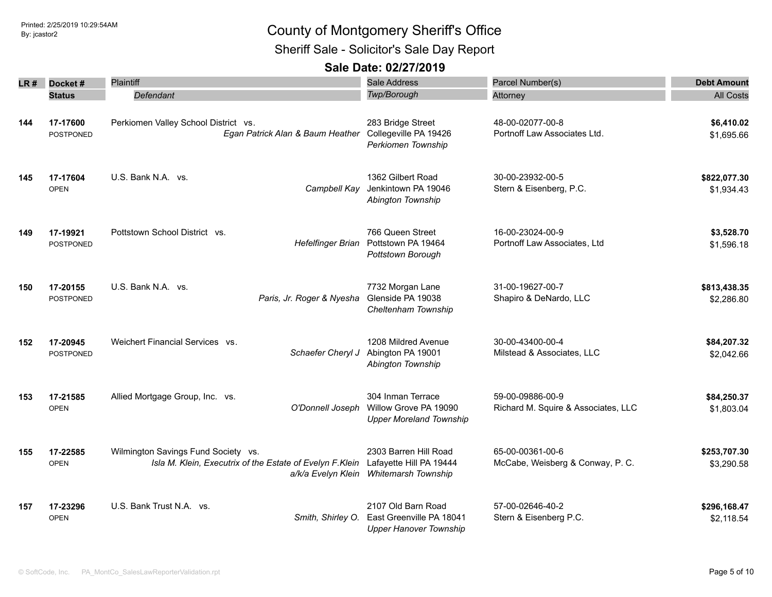Sheriff Sale - Solicitor's Sale Day Report

| LR # | Docket#<br><b>Status</b>     | <b>Plaintiff</b><br>Defendant                                                                                         | <b>Sale Address</b><br>Twp/Borough                                              | Parcel Number(s)<br>Attorney                            | <b>Debt Amount</b><br><b>All Costs</b> |
|------|------------------------------|-----------------------------------------------------------------------------------------------------------------------|---------------------------------------------------------------------------------|---------------------------------------------------------|----------------------------------------|
| 144  | 17-17600<br><b>POSTPONED</b> | Perkiomen Valley School District vs.<br>Egan Patrick Alan & Baum Heather                                              | 283 Bridge Street<br>Collegeville PA 19426<br>Perkiomen Township                | 48-00-02077-00-8<br>Portnoff Law Associates Ltd.        | \$6,410.02<br>\$1,695.66               |
| 145  | 17-17604<br><b>OPEN</b>      | U.S. Bank N.A. vs.<br>Campbell Kay                                                                                    | 1362 Gilbert Road<br>Jenkintown PA 19046<br>Abington Township                   | 30-00-23932-00-5<br>Stern & Eisenberg, P.C.             | \$822,077.30<br>\$1,934.43             |
| 149  | 17-19921<br><b>POSTPONED</b> | Pottstown School District vs.<br><b>Hefelfinger Brian</b>                                                             | 766 Queen Street<br>Pottstown PA 19464<br>Pottstown Borough                     | 16-00-23024-00-9<br>Portnoff Law Associates, Ltd        | \$3,528.70<br>\$1,596.18               |
| 150  | 17-20155<br><b>POSTPONED</b> | U.S. Bank N.A. vs.<br>Paris, Jr. Roger & Nyesha                                                                       | 7732 Morgan Lane<br>Glenside PA 19038<br>Cheltenham Township                    | 31-00-19627-00-7<br>Shapiro & DeNardo, LLC              | \$813,438.35<br>\$2,286.80             |
| 152  | 17-20945<br><b>POSTPONED</b> | Weichert Financial Services vs.<br>Schaefer Cheryl J                                                                  | 1208 Mildred Avenue<br>Abington PA 19001<br>Abington Township                   | 30-00-43400-00-4<br>Milstead & Associates, LLC          | \$84,207.32<br>\$2,042.66              |
| 153  | 17-21585<br><b>OPEN</b>      | Allied Mortgage Group, Inc. vs.<br>O'Donnell Joseph                                                                   | 304 Inman Terrace<br>Willow Grove PA 19090<br><b>Upper Moreland Township</b>    | 59-00-09886-00-9<br>Richard M. Squire & Associates, LLC | \$84,250.37<br>\$1,803.04              |
| 155  | 17-22585<br><b>OPEN</b>      | Wilmington Savings Fund Society vs.<br>Isla M. Klein, Executrix of the Estate of Evelyn F.Klein<br>a/k/a Evelyn Klein | 2303 Barren Hill Road<br>Lafayette Hill PA 19444<br>Whitemarsh Township         | 65-00-00361-00-6<br>McCabe, Weisberg & Conway, P. C.    | \$253,707.30<br>\$3,290.58             |
| 157  | 17-23296<br><b>OPEN</b>      | U.S. Bank Trust N.A. vs.<br>Smith, Shirley O.                                                                         | 2107 Old Barn Road<br>East Greenville PA 18041<br><b>Upper Hanover Township</b> | 57-00-02646-40-2<br>Stern & Eisenberg P.C.              | \$296,168.47<br>\$2,118.54             |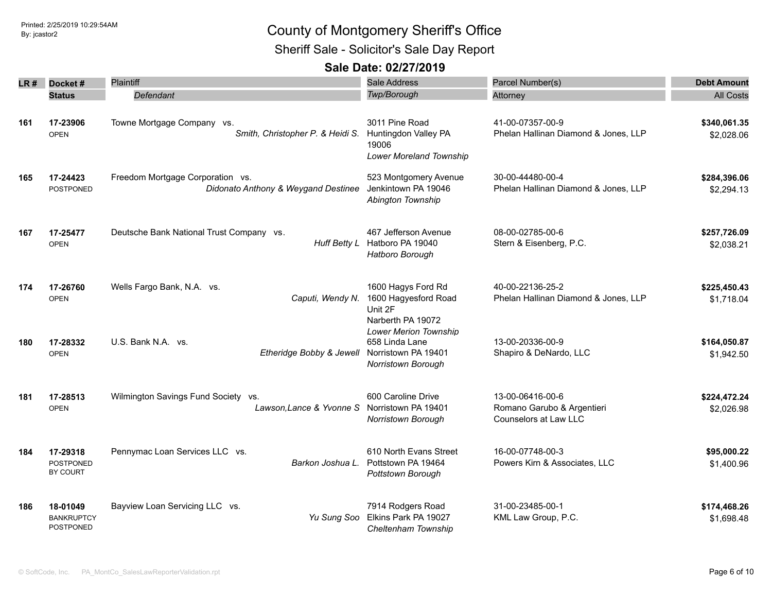### Printed: 2/25/2019 10:29:54AM By: jcastor2 County of Montgomery Sheriff's Office Sheriff Sale - Solicitor's Sale Day Report

| LR # | Docket#                                           | Plaintiff                                                               | Sale Address                                                                                | Parcel Number(s)                                                        | <b>Debt Amount</b>         |
|------|---------------------------------------------------|-------------------------------------------------------------------------|---------------------------------------------------------------------------------------------|-------------------------------------------------------------------------|----------------------------|
|      | <b>Status</b>                                     | Defendant                                                               | Twp/Borough                                                                                 | Attorney                                                                | <b>All Costs</b>           |
| 161  | 17-23906<br><b>OPEN</b>                           | Towne Mortgage Company vs.<br>Smith, Christopher P. & Heidi S.          | 3011 Pine Road<br>Huntingdon Valley PA<br>19006<br>Lower Moreland Township                  | 41-00-07357-00-9<br>Phelan Hallinan Diamond & Jones, LLP                | \$340,061.35<br>\$2,028.06 |
| 165  | 17-24423<br><b>POSTPONED</b>                      | Freedom Mortgage Corporation vs.<br>Didonato Anthony & Weygand Destinee | 523 Montgomery Avenue<br>Jenkintown PA 19046<br>Abington Township                           | 30-00-44480-00-4<br>Phelan Hallinan Diamond & Jones, LLP                | \$284,396.06<br>\$2,294.13 |
| 167  | 17-25477<br><b>OPEN</b>                           | Deutsche Bank National Trust Company vs.<br>Huff Betty L                | 467 Jefferson Avenue<br>Hatboro PA 19040<br>Hatboro Borough                                 | 08-00-02785-00-6<br>Stern & Eisenberg, P.C.                             | \$257,726.09<br>\$2,038.21 |
| 174  | 17-26760<br><b>OPEN</b>                           | Wells Fargo Bank, N.A. vs.<br>Caputi, Wendy N.                          | 1600 Hagys Ford Rd<br>1600 Hagyesford Road<br>Unit 2F<br>Narberth PA 19072                  | 40-00-22136-25-2<br>Phelan Hallinan Diamond & Jones, LLP                | \$225,450.43<br>\$1,718.04 |
| 180  | 17-28332<br><b>OPEN</b>                           | U.S. Bank N.A. vs.<br>Etheridge Bobby & Jewell                          | <b>Lower Merion Township</b><br>658 Linda Lane<br>Norristown PA 19401<br>Norristown Borough | 13-00-20336-00-9<br>Shapiro & DeNardo, LLC                              | \$164,050.87<br>\$1,942.50 |
| 181  | 17-28513<br><b>OPEN</b>                           | Wilmington Savings Fund Society vs.<br>Lawson, Lance & Yvonne S         | 600 Caroline Drive<br>Norristown PA 19401<br>Norristown Borough                             | 13-00-06416-00-6<br>Romano Garubo & Argentieri<br>Counselors at Law LLC | \$224,472.24<br>\$2,026.98 |
| 184  | 17-29318<br><b>POSTPONED</b><br>BY COURT          | Pennymac Loan Services LLC vs.<br>Barkon Joshua L.                      | 610 North Evans Street<br>Pottstown PA 19464<br>Pottstown Borough                           | 16-00-07748-00-3<br>Powers Kirn & Associates, LLC                       | \$95,000.22<br>\$1,400.96  |
| 186  | 18-01049<br><b>BANKRUPTCY</b><br><b>POSTPONED</b> | Bayview Loan Servicing LLC vs.<br>Yu Sung Soo                           | 7914 Rodgers Road<br>Elkins Park PA 19027<br>Cheltenham Township                            | 31-00-23485-00-1<br>KML Law Group, P.C.                                 | \$174,468.26<br>\$1,698.48 |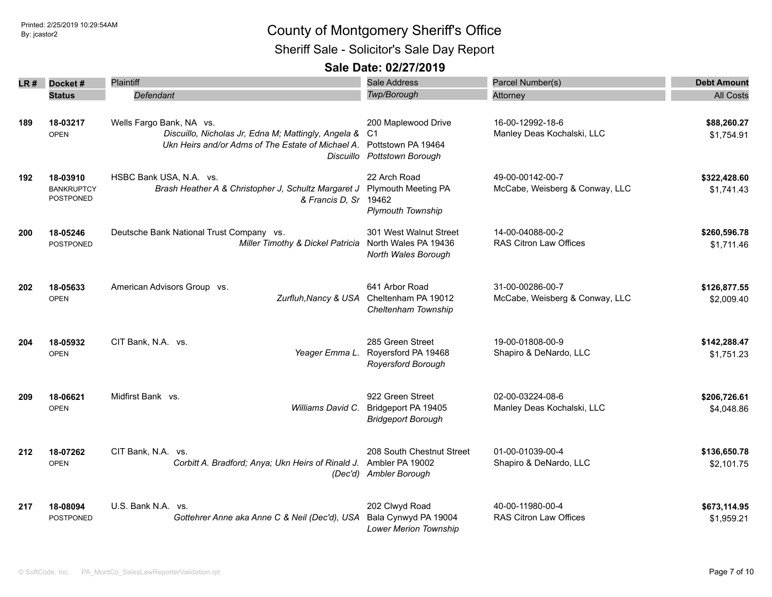Sheriff Sale - Solicitor's Sale Day Report

| LR # | Docket#                                           | Plaintiff                                                                                                                                         | Sale Address                                                                    | Parcel Number(s)                                   | <b>Debt Amount</b>         |
|------|---------------------------------------------------|---------------------------------------------------------------------------------------------------------------------------------------------------|---------------------------------------------------------------------------------|----------------------------------------------------|----------------------------|
|      | <b>Status</b>                                     | Defendant                                                                                                                                         | Twp/Borough                                                                     | Attorney                                           | <b>All Costs</b>           |
| 189  | 18-03217<br><b>OPEN</b>                           | Wells Fargo Bank, NA vs.<br>Discuillo, Nicholas Jr, Edna M; Mattingly, Angela &<br>Ukn Heirs and/or Adms of The Estate of Michael A.<br>Discuillo | 200 Maplewood Drive<br>-C1<br>Pottstown PA 19464<br><b>Pottstown Borough</b>    | 16-00-12992-18-6<br>Manley Deas Kochalski, LLC     | \$88,260.27<br>\$1,754.91  |
| 192  | 18-03910<br><b>BANKRUPTCY</b><br><b>POSTPONED</b> | HSBC Bank USA, N.A. vs.<br>Brash Heather A & Christopher J, Schultz Margaret J<br>& Francis D, Sr                                                 | 22 Arch Road<br><b>Plymouth Meeting PA</b><br>19462<br><b>Plymouth Township</b> | 49-00-00142-00-7<br>McCabe, Weisberg & Conway, LLC | \$322,428.60<br>\$1,741.43 |
| 200  | 18-05246<br><b>POSTPONED</b>                      | Deutsche Bank National Trust Company vs.<br>Miller Timothy & Dickel Patricia                                                                      | 301 West Walnut Street<br>North Wales PA 19436<br>North Wales Borough           | 14-00-04088-00-2<br>RAS Citron Law Offices         | \$260,596.78<br>\$1,711.46 |
| 202  | 18-05633<br><b>OPEN</b>                           | American Advisors Group vs.<br>Zurfluh, Nancy & USA                                                                                               | 641 Arbor Road<br>Cheltenham PA 19012<br>Cheltenham Township                    | 31-00-00286-00-7<br>McCabe, Weisberg & Conway, LLC | \$126,877.55<br>\$2,009.40 |
| 204  | 18-05932<br><b>OPEN</b>                           | CIT Bank, N.A. vs.<br>Yeager Emma L.                                                                                                              | 285 Green Street<br>Royersford PA 19468<br>Royersford Borough                   | 19-00-01808-00-9<br>Shapiro & DeNardo, LLC         | \$142,288.47<br>\$1,751.23 |
| 209  | 18-06621<br><b>OPEN</b>                           | Midfirst Bank vs.<br>Williams David C.                                                                                                            | 922 Green Street<br>Bridgeport PA 19405<br><b>Bridgeport Borough</b>            | 02-00-03224-08-6<br>Manley Deas Kochalski, LLC     | \$206,726.61<br>\$4,048.86 |
| 212  | 18-07262<br><b>OPEN</b>                           | CIT Bank, N.A. vs.<br>Corbitt A. Bradford; Anya; Ukn Heirs of Rinald J.                                                                           | 208 South Chestnut Street<br>Ambler PA 19002<br>(Dec'd) Ambler Borough          | 01-00-01039-00-4<br>Shapiro & DeNardo, LLC         | \$136,650.78<br>\$2,101.75 |
| 217  | 18-08094<br><b>POSTPONED</b>                      | U.S. Bank N.A. vs.<br>Gottehrer Anne aka Anne C & Neil (Dec'd), USA                                                                               | 202 Clwyd Road<br>Bala Cynwyd PA 19004<br><b>Lower Merion Township</b>          | 40-00-11980-00-4<br>RAS Citron Law Offices         | \$673,114.95<br>\$1,959.21 |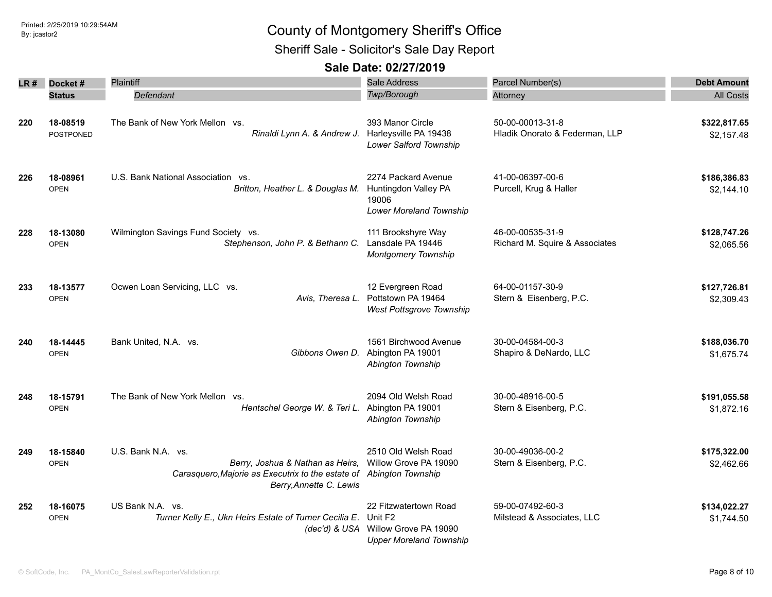Sheriff Sale - Solicitor's Sale Day Report

| LR # | Docket#                 | Plaintiff                                                                                                                                                | Sale Address                                                                                              | Parcel Number(s)                                   | <b>Debt Amount</b>         |
|------|-------------------------|----------------------------------------------------------------------------------------------------------------------------------------------------------|-----------------------------------------------------------------------------------------------------------|----------------------------------------------------|----------------------------|
|      | <b>Status</b>           | Defendant                                                                                                                                                | <b>Twp/Borough</b>                                                                                        | Attorney                                           | <b>All Costs</b>           |
| 220  | 18-08519<br>POSTPONED   | The Bank of New York Mellon vs.<br>Rinaldi Lynn A. & Andrew J.                                                                                           | 393 Manor Circle<br>Harleysville PA 19438<br>Lower Salford Township                                       | 50-00-00013-31-8<br>Hladik Onorato & Federman, LLP | \$322,817.65<br>\$2,157.48 |
| 226  | 18-08961<br><b>OPEN</b> | U.S. Bank National Association<br>VS.<br>Britton, Heather L. & Douglas M.                                                                                | 2274 Packard Avenue<br>Huntingdon Valley PA<br>19006<br>Lower Moreland Township                           | 41-00-06397-00-6<br>Purcell, Krug & Haller         | \$186,386.83<br>\$2,144.10 |
| 228  | 18-13080<br><b>OPEN</b> | Wilmington Savings Fund Society vs.<br>Stephenson, John P. & Bethann C.                                                                                  | 111 Brookshyre Way<br>Lansdale PA 19446<br>Montgomery Township                                            | 46-00-00535-31-9<br>Richard M. Squire & Associates | \$128,747.26<br>\$2,065.56 |
| 233  | 18-13577<br><b>OPEN</b> | Ocwen Loan Servicing, LLC vs.<br>Avis, Theresa L.                                                                                                        | 12 Evergreen Road<br>Pottstown PA 19464<br>West Pottsgrove Township                                       | 64-00-01157-30-9<br>Stern & Eisenberg, P.C.        | \$127,726.81<br>\$2,309.43 |
| 240  | 18-14445<br><b>OPEN</b> | Bank United, N.A. vs.<br>Gibbons Owen D.                                                                                                                 | 1561 Birchwood Avenue<br>Abington PA 19001<br>Abington Township                                           | 30-00-04584-00-3<br>Shapiro & DeNardo, LLC         | \$188,036.70<br>\$1,675.74 |
| 248  | 18-15791<br><b>OPEN</b> | The Bank of New York Mellon vs.<br>Hentschel George W. & Teri L. Abington PA 19001                                                                       | 2094 Old Welsh Road<br>Abington Township                                                                  | 30-00-48916-00-5<br>Stern & Eisenberg, P.C.        | \$191,055.58<br>\$1,872.16 |
| 249  | 18-15840<br><b>OPEN</b> | U.S. Bank N.A. vs.<br>Berry, Joshua & Nathan as Heirs,<br>Carasquero, Majorie as Executrix to the estate of Abington Township<br>Berry, Annette C. Lewis | 2510 Old Welsh Road<br>Willow Grove PA 19090                                                              | 30-00-49036-00-2<br>Stern & Eisenberg, P.C.        | \$175,322.00<br>\$2,462.66 |
| 252  | 18-16075<br><b>OPEN</b> | US Bank N.A. vs.<br>Turner Kelly E., Ukn Heirs Estate of Turner Cecilia E.                                                                               | 22 Fitzwatertown Road<br>Unit F2<br>(dec'd) & USA Willow Grove PA 19090<br><b>Upper Moreland Township</b> | 59-00-07492-60-3<br>Milstead & Associates, LLC     | \$134,022.27<br>\$1,744.50 |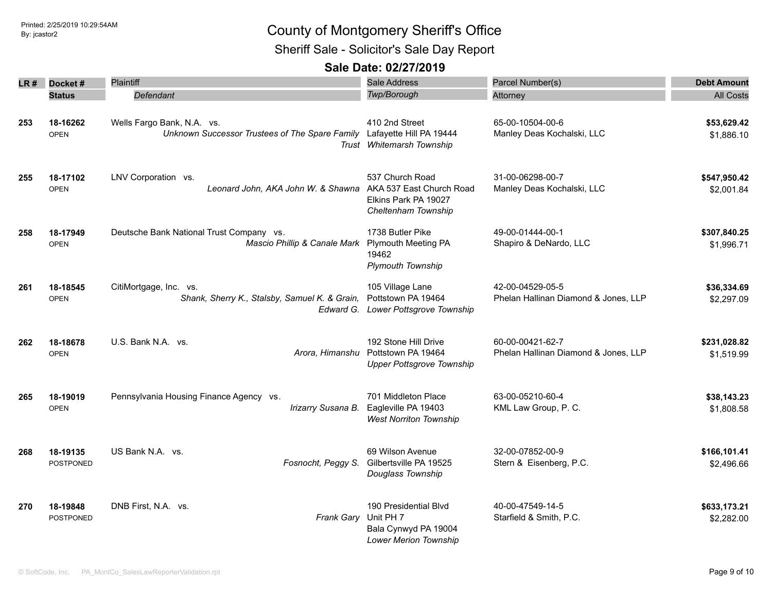Sheriff Sale - Solicitor's Sale Day Report

| LR# | Docket#                 | Plaintiff                                                                                            | Sale Address                                                                               | Parcel Number(s)                                         | <b>Debt Amount</b>         |
|-----|-------------------------|------------------------------------------------------------------------------------------------------|--------------------------------------------------------------------------------------------|----------------------------------------------------------|----------------------------|
|     | <b>Status</b>           | Defendant                                                                                            | <b>Twp/Borough</b>                                                                         | Attorney                                                 | <b>All Costs</b>           |
| 253 | 18-16262<br><b>OPEN</b> | Wells Fargo Bank, N.A. vs.<br>Unknown Successor Trustees of The Spare Family Lafayette Hill PA 19444 | 410 2nd Street<br>Trust Whitemarsh Township                                                | 65-00-10504-00-6<br>Manley Deas Kochalski, LLC           | \$53,629.42<br>\$1,886.10  |
| 255 | 18-17102<br><b>OPEN</b> | LNV Corporation vs.<br>Leonard John, AKA John W. & Shawna                                            | 537 Church Road<br>AKA 537 East Church Road<br>Elkins Park PA 19027<br>Cheltenham Township | 31-00-06298-00-7<br>Manley Deas Kochalski, LLC           | \$547,950.42<br>\$2,001.84 |
| 258 | 18-17949<br><b>OPEN</b> | Deutsche Bank National Trust Company vs.<br>Mascio Phillip & Canale Mark                             | 1738 Butler Pike<br><b>Plymouth Meeting PA</b><br>19462<br><b>Plymouth Township</b>        | 49-00-01444-00-1<br>Shapiro & DeNardo, LLC               | \$307,840.25<br>\$1,996.71 |
| 261 | 18-18545<br><b>OPEN</b> | CitiMortgage, Inc. vs.<br>Shank, Sherry K., Stalsby, Samuel K. & Grain,                              | 105 Village Lane<br>Pottstown PA 19464<br>Edward G. Lower Pottsgrove Township              | 42-00-04529-05-5<br>Phelan Hallinan Diamond & Jones, LLP | \$36,334.69<br>\$2,297.09  |
| 262 | 18-18678<br><b>OPEN</b> | U.S. Bank N.A. vs.<br>Arora, Himanshu                                                                | 192 Stone Hill Drive<br>Pottstown PA 19464<br><b>Upper Pottsgrove Township</b>             | 60-00-00421-62-7<br>Phelan Hallinan Diamond & Jones, LLP | \$231,028.82<br>\$1,519.99 |
| 265 | 18-19019<br><b>OPEN</b> | Pennsylvania Housing Finance Agency vs.<br>Irizarry Susana B.                                        | 701 Middleton Place<br>Eagleville PA 19403<br><b>West Norriton Township</b>                | 63-00-05210-60-4<br>KML Law Group, P. C.                 | \$38,143.23<br>\$1,808.58  |
| 268 | 18-19135<br>POSTPONED   | US Bank N.A. vs.<br>Fosnocht, Peggy S.                                                               | 69 Wilson Avenue<br>Gilbertsville PA 19525<br>Douglass Township                            | 32-00-07852-00-9<br>Stern & Eisenberg, P.C.              | \$166,101.41<br>\$2,496.66 |
| 270 | 18-19848<br>POSTPONED   | DNB First, N.A. vs.<br>Frank Gary                                                                    | 190 Presidential Blvd<br>Unit PH 7<br>Bala Cynwyd PA 19004<br>Lower Merion Township        | 40-00-47549-14-5<br>Starfield & Smith, P.C.              | \$633,173.21<br>\$2,282.00 |